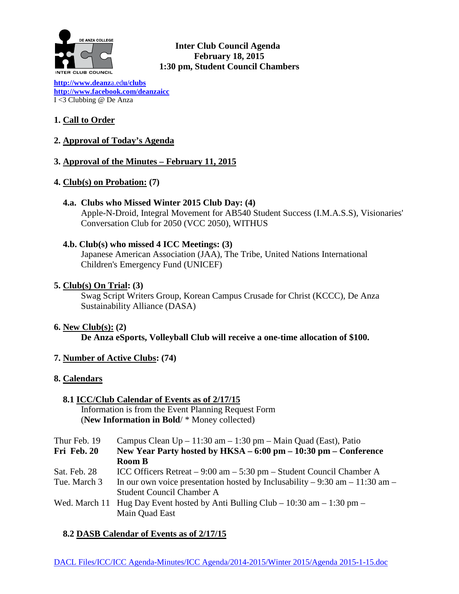

**Inter Club Council Agenda February 18, 2015 1:30 pm, Student Council Chambers** 

**[http://www.deanz](http://www.deanza.edu/clubs)**a.ed**u/clubs [http://www.facebook.com/deanzaicc](http://www.facebook.com/home.php%23!/group.php?gid=59034552686)** I <3 Clubbing @ De Anza

# **1. Call to Order**

**2. Approval of Today's Agenda**

### **3. Approval of the Minutes – February 11, 2015**

### **4. Club(s) on Probation: (7)**

 **4.a. Clubs who Missed Winter 2015 Club Day: (4)** Apple-N-Droid, Integral Movement for AB540 Student Success (I.M.A.S.S), Visionaries' Conversation Club for 2050 (VCC 2050), WITHUS

### **4.b. Club(s) who missed 4 ICC Meetings: (3)**

Japanese American Association (JAA), The Tribe, United Nations International Children's Emergency Fund (UNICEF)

**5. Club(s) On Trial: (3)**

Swag Script Writers Group, Korean Campus Crusade for Christ (KCCC), De Anza Sustainability Alliance (DASA)

- **6. New Club(s): (2) De Anza eSports, Volleyball Club will receive a one-time allocation of \$100.**
- **7. Number of Active Clubs: (74)**

### **8. Calendars**

 **8.1 ICC/Club Calendar of Events as of 2/17/15** Information is from the Event Planning Request Form (**New Information in Bold**/ \* Money collected)

| Thur Feb. 19 | Campus Clean $Up - 11:30$ am $- 1:30$ pm $-$ Main Quad (East), Patio           |  |  |
|--------------|--------------------------------------------------------------------------------|--|--|
| Fri Feb. 20  | New Year Party hosted by HKSA – 6:00 pm – 10:30 pm – Conference                |  |  |
|              | <b>Room B</b>                                                                  |  |  |
| Sat. Feb. 28 | ICC Officers Retreat $-9:00$ am $-5:30$ pm $-$ Student Council Chamber A       |  |  |
| Tue. March 3 | In our own voice presentation hosted by Inclusability – 9:30 am – 11:30 am –   |  |  |
|              | <b>Student Council Chamber A</b>                                               |  |  |
|              | Wed. March 11 Hug Day Event hosted by Anti Bulling Club – 10:30 am – 1:30 pm – |  |  |
|              | Main Quad East                                                                 |  |  |

### **8.2 DASB Calendar of Events as of 2/17/15**